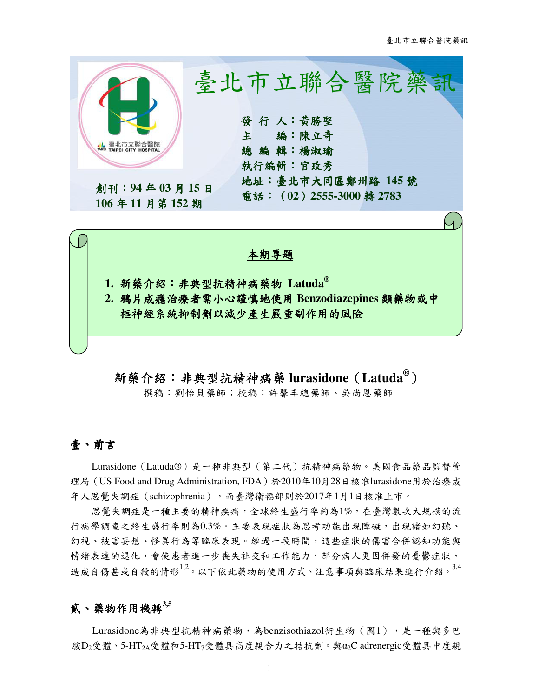

新藥介紹:非典型抗精神病藥 非典型抗精神病藥**lurasidone**(**Latuda®**)

撰稿:劉怡貝藥師;校稿:許馨丰總藥師、吳尚恩藥師

## 壹、前言

Lurasidone(Latuda®)是一種非典型(第二代)抗精神病藥物。美國食品藥品監督管 理局 (US Food and Drug Administration, FDA)於2010年10月28日核准lurasidone用於治療成 年人思覺失調症(schizophrenia),而臺灣衛福部則於2017年1月1日核准上市。

思覺失調症是一種主要的精神疾病,全球終生盛行率約為1%,在臺灣數次大規模的流 行病學調查之終生盛行率則為0.3%。主要表現症狀為思考功能出現障礙,出現諸如幻聽、 幻視、被害妄想、怪異行為等臨床表現。經過一段時間,這些症狀的傷害合併認知功能與 情緒表達的退化,會使患者進一步喪失社交和工作能力,部分病人更因併發的憂鬱症狀, 造成自傷甚或自殺的情形<sup>1,2</sup>。以下依此藥物的使用方式、注意事項與臨床結果進行介紹。<sup>3,4</sup>

## 貳、藥物作用機轉**3,5**

Lurasidone為非典型抗精神病藥物,為benzisothiazol衍生物(圖1),是一種與多巴 胺D2受體、5-HT2A受體和5-HT7受體具高度親合力之拮抗劑。與α2C adrenergic受體具中度親

1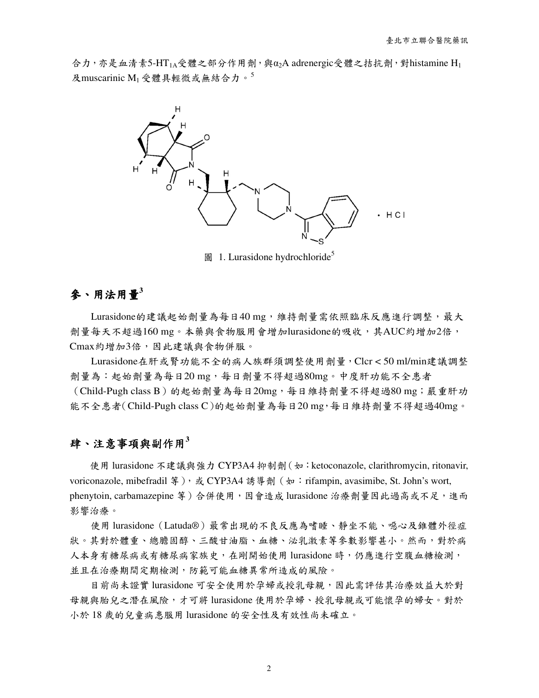合力,亦是血清素5-HT<sub>1A</sub>受體之部分作用劑,與α<sub>2</sub>A adrenergic受體之拮抗劑,對histamine H<sub>1</sub> 及muscarinic  $M_1$ 受體具輕微或無結合力。



圖 1. Lurasidone hydrochloride<sup>5</sup>

# 參、用法用量**<sup>3</sup>**

Lurasidone的建議起始劑量為每日40 mg,維持劑量需依照臨床反應進行調整,最大 劑量每天不超過160 mg。本藥與食物服用會增加lurasidone的吸收,其AUC約增加2倍, Cmax約增加3倍,因此建議與食物併服。

Lurasidone在肝或腎功能不全的病人族群須調整使用劑量,Clcr < 50 ml/min建議調整 劑量為:起始劑量為每日20 mg,每日劑量不得超過80mg。中度肝功能不全患者 (Child-Pugh class B)的起始劑量為每日20mg,每日維持劑量不得超過80 mg;嚴重肝功 能不全患者(Child-Pugh class C)的起始劑量為每日20 mg,每日維持劑量不得超過40mg。

# $\mathbf{F}$ 、注意事項與副作用 $3$

使用 lurasidone 不建議與強力 CYP3A4 抑制劑 (如: ketoconazole, clarithromycin, ritonavir, voriconazole, mibefradil 等), 或 CYP3A4 誘導劑 (如: rifampin, avasimibe, St. John's wort, phenytoin, carbamazepine 等)合併使用,因會造成 lurasidone 治療劑量因此過高或不足,進而 影響治療。

使用 lurasidone (Latuda®) 最常出現的不良反應為嗜睡、靜坐不能、噁心及錐體外徑症 狀。其對於體重、總膽固醇、三酸甘油脂、血糖、泌乳激素等參數影響甚小。然而,對於病 人本身有糖尿病或有糖尿病家族史,在剛開始使用 lurasidone 時,仍應進行空腹血糖檢測, 並且在治療期間定期檢測,防範可能血糖異常所造成的風險。

目前尚未證實 lurasidone 可安全使用於孕婦或授乳母親,因此需評估其治療效益大於對 母親與胎兒之潛在風險,才可將 lurasidone 使用於孕婦、授乳母親或可能懷孕的婦女。對於 小於 18 歲的兒童病患服用 lurasidone 的安全性及有效性尚未確立。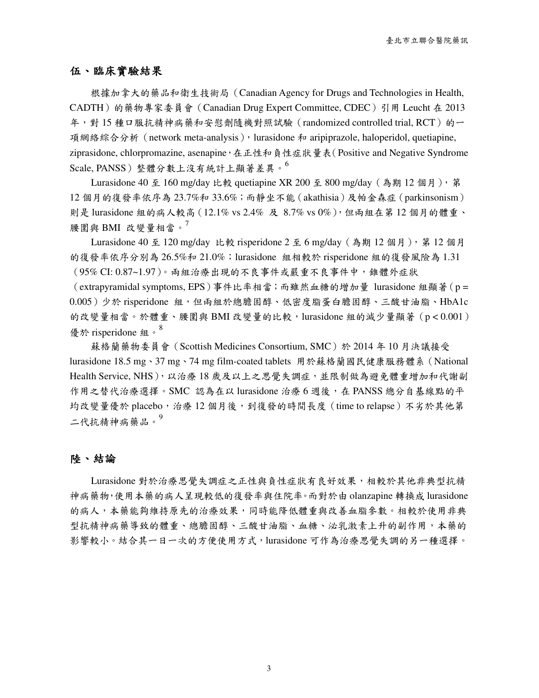#### 伍、臨床實驗結果

根據加拿大的藥品和衛生技術局(Canadian Agency for Drugs and Technologies in Health, CADTH)的藥物專家委員會(Canadian Drug Expert Committee, CDEC)引用 Leucht 在 2013 年,對 15 種口服抗精神病藥和安慰劑隨機對照試驗(randomized controlled trial, RCT)的一 項網絡綜合分析 (network meta-analysis), lurasidone 和 aripiprazole, haloperidol, quetiapine, ziprasidone, chlorpromazine, asenapine, 在正性和負性症狀量表(Positive and Negative Syndrome Scale, PANSS)整體分數上沒有統計上顯著差異。<sup>6</sup>

Lurasidone 40 至 160 mg/day 比較 quetiapine XR 200 至 800 mg/day(為期 12 個月),第 12 個月的復發率依序為 23.7%和 33.6%;而靜坐不能(akathisia)及帕金森症(parkinsonism) 則是 lurasidone 組的病人較高(12.1% vs 2.4% 及 8.7% vs 0%),但兩組在第 12 個月的體重、 腰圍與 BMI 改變量相當。

Lurasidone 40 至 120 mg/day 比較 risperidone 2 至 6 mg/day (為期 12 個月), 第 12 個月 的復發率依序分別為 26.5%和 21.0%;lurasidone 組相較於 risperidone 組的復發風險為 1.31 (95% CI: 0.87~1.97)。兩組治療出現的不良事件或嚴重不良事件中,錐體外症狀

(extrapyramidal symptoms, EPS)事件比率相當;而雖然血糖的增加量 lurasidone 組顯著(p =  $0.005$ )少於 risperidone 組,但兩組於總膽固醇、低密度脂蛋白膽固醇、三酸甘油脂、HbA1c 的改變量相當。於體重、腰圍與 BMI 改變量的比較,lurasidone 組的減少量顯著(p < 0.001) 優於 risperidone 組。<sup>8</sup>

蘇格蘭藥物委員會(Scottish Medicines Consortium, SMC)於 2014 年 10 月決議接受 lurasidone 18.5 mg、37 mg、74 mg film-coated tablets 用於蘇格蘭國民健康服務體系(National Health Service, NHS), 以治療 18 歲及以上之思覺失調症,並限制做為避免體重增加和代謝副 作用之替代治療選擇。SMC 認為在以 lurasidone 治療 6 週後, 在 PANSS 總分自基線點的平 均改變量優於 placebo,治療 12 個月後,到復發的時間長度 (time to relapse) 不劣於其他第 二代抗精神病藥品。9

#### 陸、結論

Lurasidone 對於治療思覺失調症之正性與負性症狀有良好效果,相較於其他非典型抗精 神病藥物,使用本藥的病人呈現較低的復發率與住院率。而對於由 olanzapine 轉換成 lurasidone 的病人,本藥能夠維持原先的治療效果,同時能降低體重與改善血脂參數。相較於使用非典 型抗精神病藥導致的體重、總膽固醇、三酸甘油脂、血糖、泌乳激素上升的副作用,本藥的 影響較小。結合其一日一次的方便使用方式,lurasidone 可作為治療思覺失調的另一種選擇。

3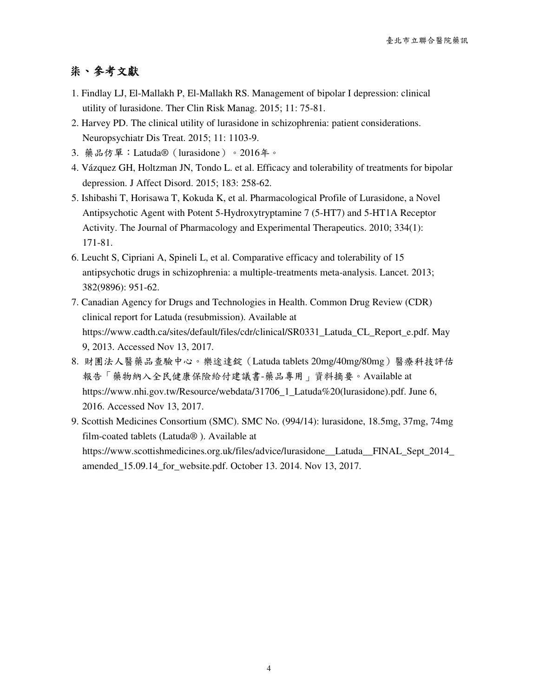# 柒、參考文獻

- 1. Findlay LJ, El-Mallakh P, El-Mallakh RS. Management of bipolar I depression: clinical utility of lurasidone. Ther Clin Risk Manag. 2015; 11: 75-81.
- 2. Harvey PD. The clinical utility of lurasidone in schizophrenia: patient considerations. Neuropsychiatr Dis Treat. 2015; 11: 1103-9.
- 3. 藥品仿單:Latuda®(lurasidone)。2016年。
- 4. Vázquez GH, Holtzman JN, Tondo L. et al. Efficacy and tolerability of treatments for bipolar depression. J Affect Disord. 2015; 183: 258-62.
- 5. Ishibashi T, Horisawa T, Kokuda K, et al. Pharmacological Profile of Lurasidone, a Novel Antipsychotic Agent with Potent 5-Hydroxytryptamine 7 (5-HT7) and 5-HT1A Receptor Activity. The Journal of Pharmacology and Experimental Therapeutics. 2010; 334(1): 171-81.
- 6. Leucht S, Cipriani A, Spineli L, et al. Comparative efficacy and tolerability of 15 antipsychotic drugs in schizophrenia: a multiple-treatments meta-analysis. Lancet. 2013; 382(9896): 951-62.
- 7. Canadian Agency for Drugs and Technologies in Health. Common Drug Review (CDR) clinical report for Latuda (resubmission). Available at https://www.cadth.ca/sites/default/files/cdr/clinical/SR0331\_Latuda\_CL\_Report\_e.pdf. May 9, 2013. Accessed Nov 13, 2017.
- 8. 財團法人醫藥品查驗中心。樂途達錠(Latuda tablets 20mg/40mg/80mg)醫療科技評估 報告「藥物納入全民健康保險給付建議書-藥品專用」資料摘要。Available at https://www.nhi.gov.tw/Resource/webdata/31706\_1\_Latuda%20(lurasidone).pdf. June 6, 2016. Accessed Nov 13, 2017.
- 9. Scottish Medicines Consortium (SMC). SMC No. (994/14): lurasidone, 18.5mg, 37mg, 74mg film-coated tablets (Latuda® ). Available at https://www.scottishmedicines.org.uk/files/advice/lurasidone\_\_Latuda\_\_FINAL\_Sept\_2014\_ amended\_15.09.14\_for\_website.pdf. October 13. 2014. Nov 13, 2017.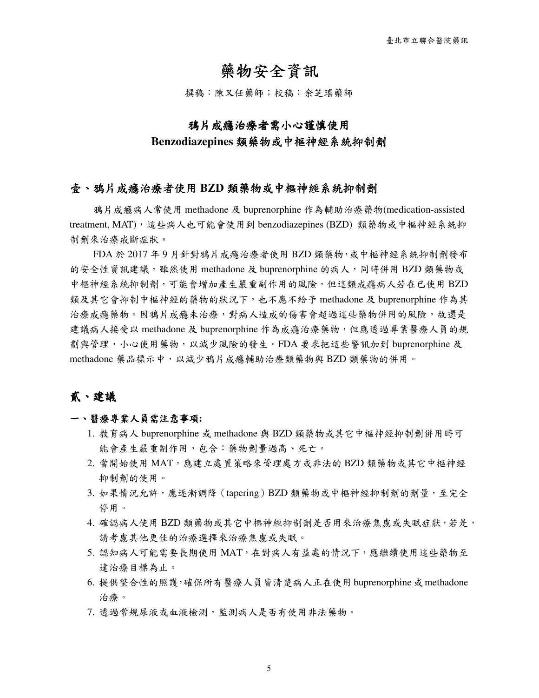# 藥物安全資訊

撰稿:陳又任藥師;校稿:余芝瑤藥師

## 鴉片成癮治療者需小心謹慎使用

#### **Benzodiazepines** 類藥物或中樞神經系統抑制劑

#### 壹、鴉片成癮治療者使用 鴉片成癮治療者使用 **BZD** 類藥物或中樞神經系統抑制劑

鴉片成癮病人常使用 methadone 及 buprenorphine 作為輔助治療藥物(medication-assisted treatment, MAT),這些病人也可能會使用到 benzodiazepines (BZD) 類藥物或中樞神經系統抑 制劑來治療戒斷症狀。

FDA 於 2017 年 9 月針對鴉片成癮治療者使用 BZD 類藥物,或中樞神經系統抑制劑發布 的安全性資訊建議,雖然使用 methadone 及 buprenorphine 的病人,同時併用 BZD 類藥物或 中樞神經系統抑制劑,可能會增加產生嚴重副作用的風險,但這類成癮病人若在已使用 BZD 類及其它會抑制中樞神經的藥物的狀況下,也不應不給予 methadone 及 buprenorphine 作為其 治療成癮藥物。因鴉片成癮未治療,對病人造成的傷害會超過這些藥物併用的風險,故還是 建議病人接受以 methadone 及 buprenorphine 作為成癮治療藥物,但應透過專業醫療人員的規 劃與管理,小心使用藥物,以減少風險的發生。FDA 要求把這些警訊加到 buprenorphine 及 methadone 藥品標示中,以減少鴉片成癮輔助治療類藥物與 BZD 類藥物的併用。

## 貳、建議

#### 一、醫療專業人員需注意事項:

- 1. 教育病人 buprenorphine 或 methadone 與 BZD 類藥物或其它中樞神經抑制劑併用時可 能會產生嚴重副作用,包含:藥物劑量過高、死亡。
- 2. 當開始使用 MAT,應建立處置策略來管理處方或非法的 BZD 類藥物或其它中樞神經 抑制劑的使用。
- 3. 如果情況允許,應逐漸調降(tapering)BZD 類藥物或中樞神經抑制劑的劑量,至完全 停用。
- 4. 確認病人使用 BZD 類藥物或其它中樞神經抑制劑是否用來治療焦慮或失眠症狀,若是, 請考慮其他更佳的治療選擇來治療焦慮或失眠。
- 5. 認知病人可能需要長期使用 MAT,在對病人有益處的情況下,應繼續使用這些藥物至 達治療目標為止。
- 6. 提供整合性的照護,確保所有醫療人員皆清楚病人正在使用buprenorphine或methadone 治療。
- 7. 透過常規尿液或血液檢測,監測病人是否有使用非法藥物。